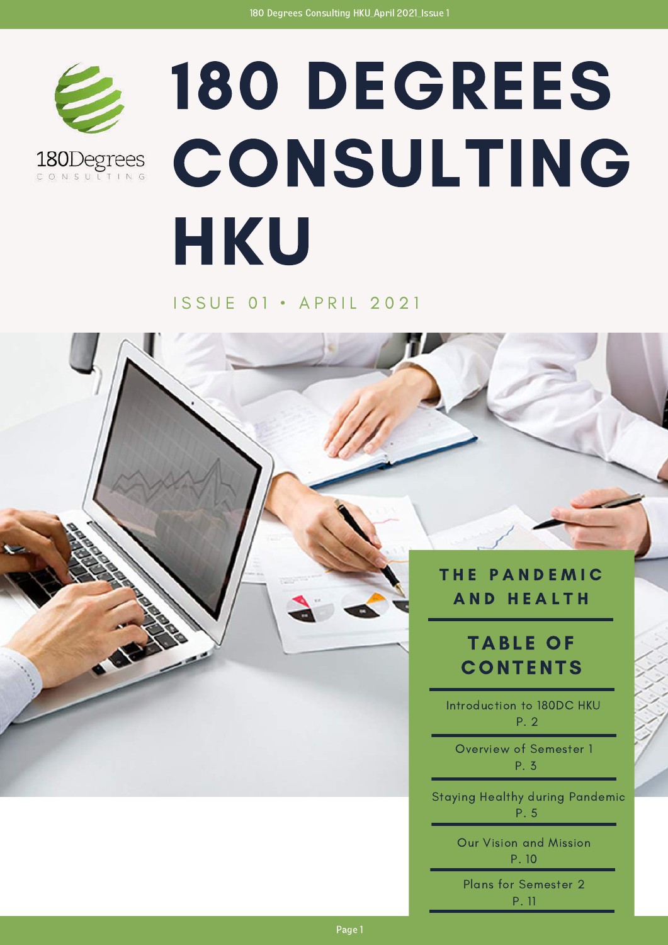

180Degrees CONSULTING

# 180 DEGREES **CONSULTING** HKU

#### I S S U E 0 1 · A P R I L 2 0 2 1

#### THE PANDEMIC AND HEALTH

### **TABLE OF CONTENTS**

Introduction to 180DC HKU P. 2

Overview of Semester 1 P. 3

Staying Healthy during Pandemic P. 5

> Our Vision and Mission P. 10

Plans for Semester 2 P. 11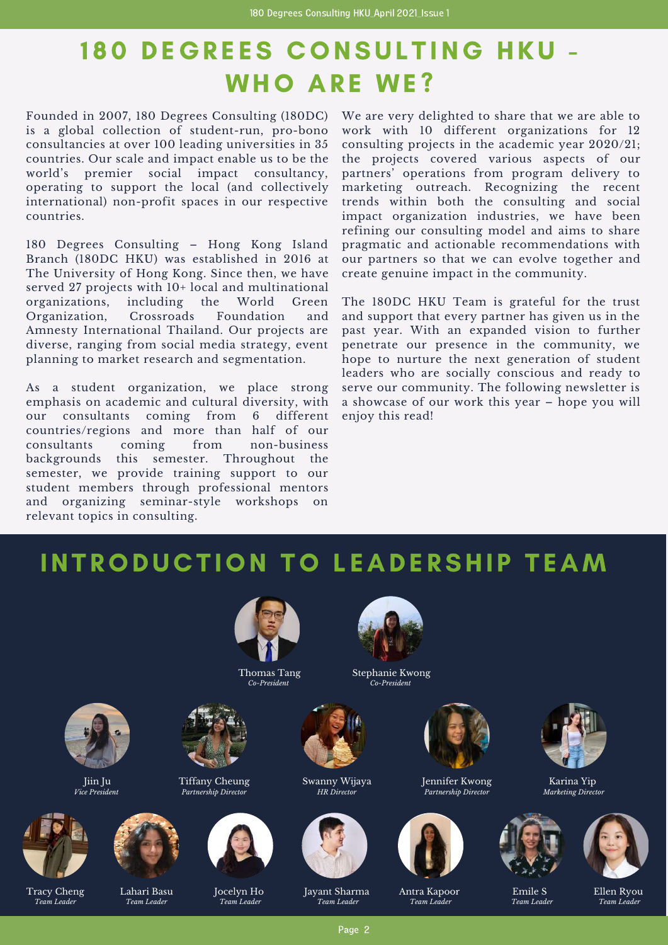# 180 DEGREES CONSULTING HKU -WHO ARE WE?

Founded in 2007, 180 Degrees Consulting (180DC) is a global collection of student-run, pro-bono consultancies at over 100 leading universities in 35 countries. Our scale and impact enable us to be the world's premier social impact consultancy, operating to support the local (and collectively international) non-profit spaces in our respective countries.

180 Degrees Consulting – Hong Kong Island Branch (180DC HKU) was established in 2016 at The University of Hong Kong. Since then, we have served 27 projects with 10+ local and multinational organizations, including the World Green Organization, Crossroads Foundation and Amnesty International Thailand. Our projects are diverse, ranging from social media strategy, event planning to market research and segmentation.

As a student organization, we place strong emphasis on academic and cultural diversity, with our consultants coming from 6 different countries/regions and more than half of our consultants coming from non-business backgrounds this semester. Throughout the semester, we provide training support to our student members through professional mentors and organizing seminar-style workshops on relevant topics in consulting.

We are very delighted to share that we are able to work with 10 different organizations for 12 consulting projects in the academic year 2020/21; the projects covered various aspects of our partners' operations from program delivery to marketing outreach. Recognizing the recent trends within both the consulting and social impact organization industries, we have been refining our consulting model and aims to share pragmatic and actionable recommendations with our partners so that we can evolve together and create genuine impact in the community.

The 180DC HKU Team is grateful for the trust and support that every partner has given us in the past year. With an expanded vision to further penetrate our presence in the community, we hope to nurture the next generation of student leaders who are socially conscious and ready to serve our community. The following newsletter is a showcase of our work this year – hope you will enjoy this read!

### INTRODUCTION TO LEADERSHIP TEAM



Jiin Ju *Vice President*

Lahari Basu *Team Leader*



Tracy Cheng *Team Leader*



Tiffany Cheung *Partnership Director*





Thomas Tang *Co-President*

Jocelyn Ho *Team Leader*



Stephanie Kwong *Co-President*



Swanny Wijaya *HR Director*



Jayant Sharma *Team Leader*



Jennifer Kwong *Partnership Director*



Antra Kapoor *Team Leader*



Karina Yip *Marketing Director*



Emile S



*Team Leader*

Ellen Ryou *Team Leader*

Page 2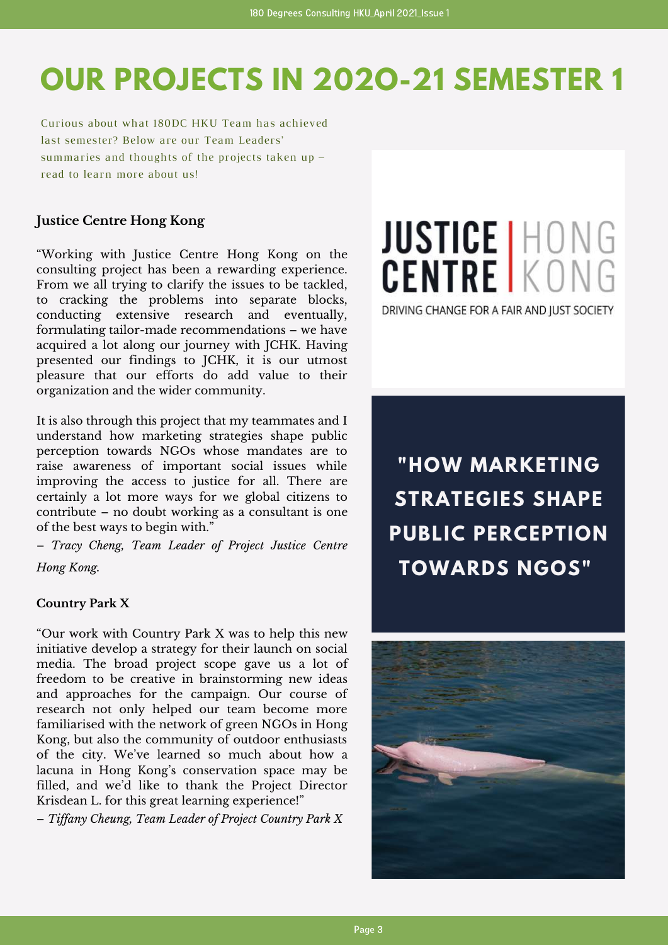# **OUR PROJECTS IN 202O-21 SEMESTER 1**

Curious about what 180DC HKU Team has achieved last semester? Below are our Team Leaders' summaries and thoughts of the projects taken up – read to learn more about us!

#### **Justice Centre Hong Kong**

"Working with Justice [Centre](https://www.linkedin.com/company/justice-centre-hong-kong/) Hong Kong on the consulting project has been a rewarding experience. From we all trying to clarify the issues to be tackled, to cracking the problems into separate blocks, conducting extensive research and eventually, formulating tailor-made recommendations – we have acquired a lot along our journey with JCHK. Having presented our findings to JCHK, it is our utmost pleasure that our efforts do add value to their organization and the wider community.

It is also through this project that my teammates and I understand how marketing strategies shape public perception towards NGOs whose mandates are to raise awareness of important social issues while improving the access to justice for all. There are certainly a lot more ways for we global citizens to contribute – no doubt working as a consultant is one of the best ways to begin with."

– *Tracy [Cheng](https://www.linkedin.com/in/ACoAACkKiyoBAAFnBLclyR90nrguT1EZYS9iSM8), Team Leader of Project Justice Centre Hong Kong.*

#### **Country Park X**

"Our work with Country Park X was to help this new initiative develop a strategy for their launch on social media. The broad project scope gave us a lot of freedom to be creative in brainstorming new ideas and approaches for the campaign. Our course of research not only helped our team become more familiarised with the network of green NGOs in Hong Kong, but also the community of outdoor enthusiasts of the city. We've learned so much about how a lacuna in Hong Kong's conservation space may be filled, and we'd like to thank the Project Director Krisdean L. for this great learning experience!"

– *Tif any [Cheung,](https://www.linkedin.com/in/ACoAACP_9CYBV4EkxZmQU1fMwq_BNCFFpxCpIt0) Team Leader of Project Country Park X*

# JUSTICE HONG

DRIVING CHANGE FOR A FAIR AND JUST SOCIETY

**"HOW MARKETING STRATEGIES SHAPE PUBLIC PERCEPTION TOWARDS NGOS"**

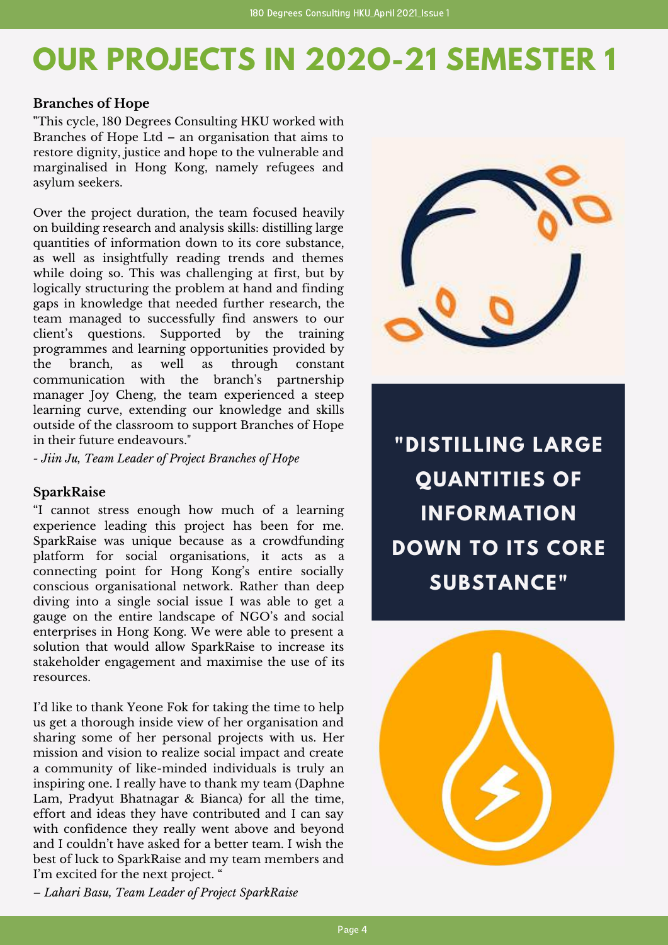# **OUR PROJECTS IN 202O-21 SEMESTER 1**

#### **Branches of Hope**

**"**This cycle, 180 Degrees [Consulting](https://www.linkedin.com/company/180-degree-consulting-hku/) HKU worked with [Branches](https://www.linkedin.com/company/branches-of-hope-ltd/) of Hope Ltd – an organisation that aims to restore dignity, justice and hope to the vulnerable and marginalised in Hong Kong, namely refugees and asylum seekers.

Over the project duration, the team focused heavily on building research and analysis skills: distilling large quantities of information down to its core substance, as well as insightfully reading trends and themes while doing so. This was challenging at first, but by logically structuring the problem at hand and finding gaps in knowledge that needed further research, the team managed to successfully find answers to our client's questions. Supported by the training programmes and learning opportunities provided by the branch, as well as through constant communication with the branch's partnership manager Joy [Cheng,](https://www.linkedin.com/in/ACoAAAiIgMMBSpVbT1aqMiF4JyMnqTmQxden2Qs) the team experienced a steep learning curve, extending our knowledge and skills outside of the classroom to support Branches of Hope in their future endeavours."

*- [Jiin](https://www.linkedin.com/in/ACoAACXKE0UB19SleZjVwJNZnlrneZZz6D5UC94) Ju, Team Leader of Project Branches of Hope*

#### **SparkRaise**

"I cannot stress enough how much of a learning experience leading this project has been for me. [SparkRaise](https://www.linkedin.com/company/sparkraise/) was unique because as a crowdfunding platform for social organisations, it acts as a connecting point for Hong Kong's entire socially conscious organisational network. Rather than deep diving into a single social issue I was able to get a gauge on the entire landscape of NGO's and social enterprises in Hong Kong. We were able to present a solution that would allow SparkRaise to increase its stakeholder engagement and maximise the use of its resources.

I'd like to thank Yeone Fok for taking the time to help us get a thorough inside view of her organisation and sharing some of her personal projects with us. Her mission and vision to realize social impact and create a community of like-minded individuals is truly an inspiring one. I really have to thank my team (Daphne Lam, Pradyut Bhatnagar & Bianca) for all the time, effort and ideas they have contributed and I can say with confidence they really went above and beyond and I couldn't have asked for a better team. I wish the best of luck to SparkRaise and my team members and I'm excited for the next project. "



**"DISTILLING LARGE QUANTITIES OF INFORMATION DOWN TO ITS CORE SUBSTANCE"**



*– Lahari Basu, Team Leader of Project SparkRaise*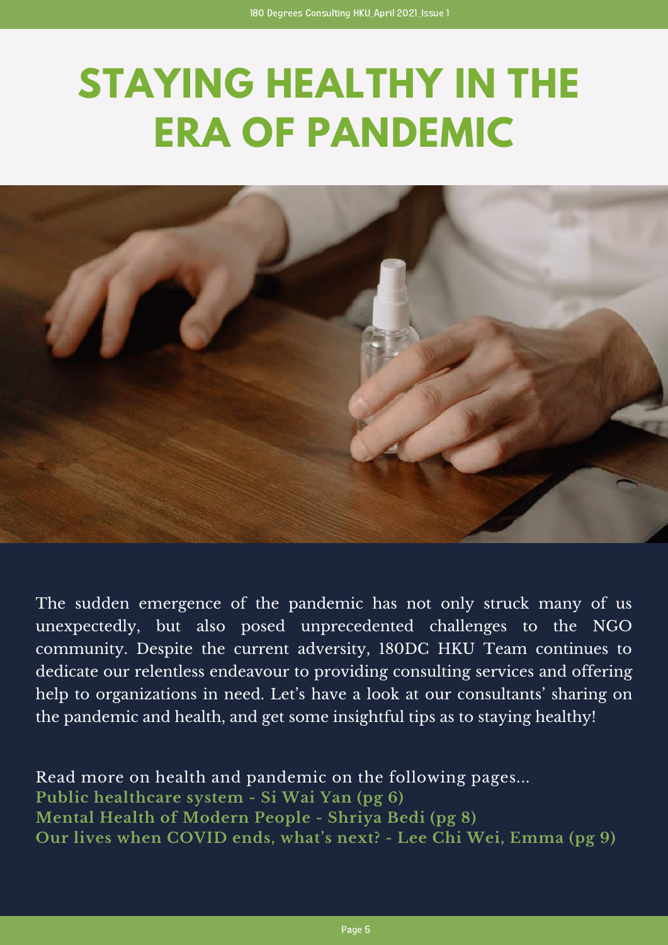# **STAYING HEALTHY IN THE ERA OF PANDEMIC**



The sudden emergence of the pandemic has not only struck many of us unexpectedly, but also posed unprecedented challenges to the NGO community. Despite the current adversity, 180DC HKU Team continues to dedicate our relentless endeavour to providing consulting services and offering help to organizations in need. Let's have a look at our consultants' sharing on the pandemic and health, and get some insightful tips as to staying healthy!

Read more on health and pandemic on the following pages... **Public healthcare system - Si Wai Yan (pg 6) Mental Health of Modern People - Shriya Bedi (pg 8) Our lives when COVID ends, what's next? - Lee Chi Wei, Emma (pg 9)**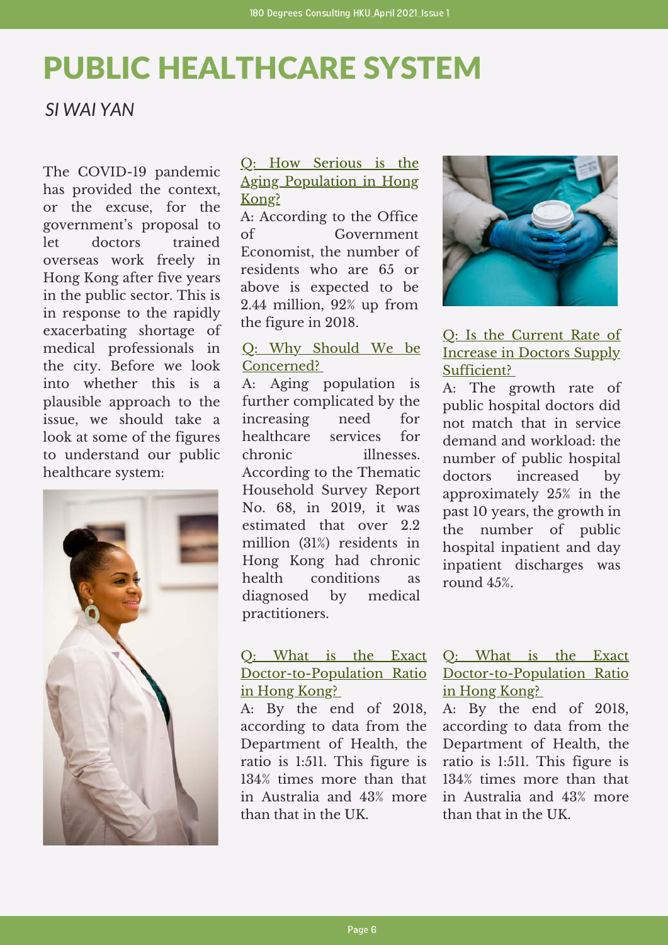# PUBLIC HEALTHCARE SYSTEM

#### *SI WAI YAN*

The COVID-19 pandemic has provided the context, or the excuse, for the government's proposal to let doctors trained overseas work freely in Hong Kong after five years in the public sector. This is in response to the rapidly exacerbating shortage of medical professionals in the city. Before we look into whether this is a plausible approach to the issue, we should take a look at some of the figures to understand our public healthcare system:



#### Q: How Serious is the Aging Population in Hong Kong?

A: According to the Office of Government Economist, the number of residents who are 65 or above is expected to be 2.44 million, 92% up from the figure in 2018.

#### Q: Why Should We be Concerned?

A: Aging population is further complicated by the increasing need for healthcare services for chronic illnesses. According to the Thematic Household Survey Report No. 68, in 2019, it was estimated that over 2.2 million (31%) residents in Hong Kong had chronic health conditions as diagnosed by medical practitioners.

#### Q: What is the Exact Doctor-to-Population Ratio in Hong Kong?

A: By the end of 2018, according to data from the Department of Health, the ratio is 1:511. This figure is 134% times more than that in Australia and 43% more than that in the UK.



#### Q: Is the Current Rate of Increase in Doctors Supply Sufficient?

A: The growth rate of public hospital doctors did not match that in service demand and workload: the number of public hospital doctors increased by approximately 25% in the past 10 years, the growth in the number of public hospital inpatient and day inpatient discharges was round 45%.

#### Q: What is the Exact Doctor-to-Population Ratio in Hong Kong?

A: By the end of 2018, according to data from the Department of Health, the ratio is 1:511. This figure is 134% times more than that in Australia and 43% more than that in the UK.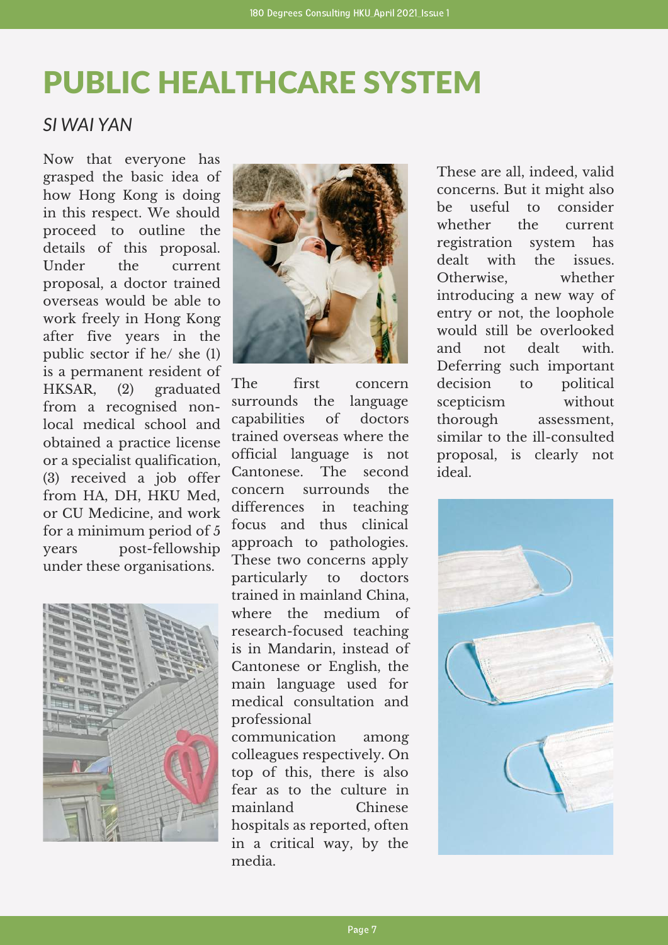# PUBLIC HEALTHCARE SYSTEM

#### *SI WAI YAN*

Now that everyone has grasped the basic idea of how Hong Kong is doing in this respect. We should proceed to outline the details of this proposal. Under the current proposal, a doctor trained overseas would be able to work freely in Hong Kong after five years in the public sector if he/ she (1) is a permanent resident of HKSAR, (2) graduated from a recognised nonlocal medical school and obtained a practice license or a specialist qualification, (3) received a job offer from HA, DH, HKU Med, or CU Medicine, and work for a minimum period of 5 years post-fellowship under these organisations.





The first concern surrounds the language capabilities of doctors trained overseas where the official language is not Cantonese. The second concern surrounds the differences in teaching focus and thus clinical approach to pathologies. These two concerns apply particularly to doctors trained in mainland China, where the medium of research-focused teaching is in Mandarin, instead of Cantonese or English, the main language used for medical consultation and professional

communication among colleagues respectively. On top of this, there is also fear as to the culture in mainland Chinese hospitals as reported, often in a critical way, by the media.

These are all, indeed, valid concerns. But it might also be useful to consider whether the current registration system has dealt with the issues. Otherwise, whether introducing a new way of entry or not, the loophole would still be overlooked and not dealt with. Deferring such important decision to political scepticism without thorough assessment, similar to the ill-consulted proposal, is clearly not ideal.

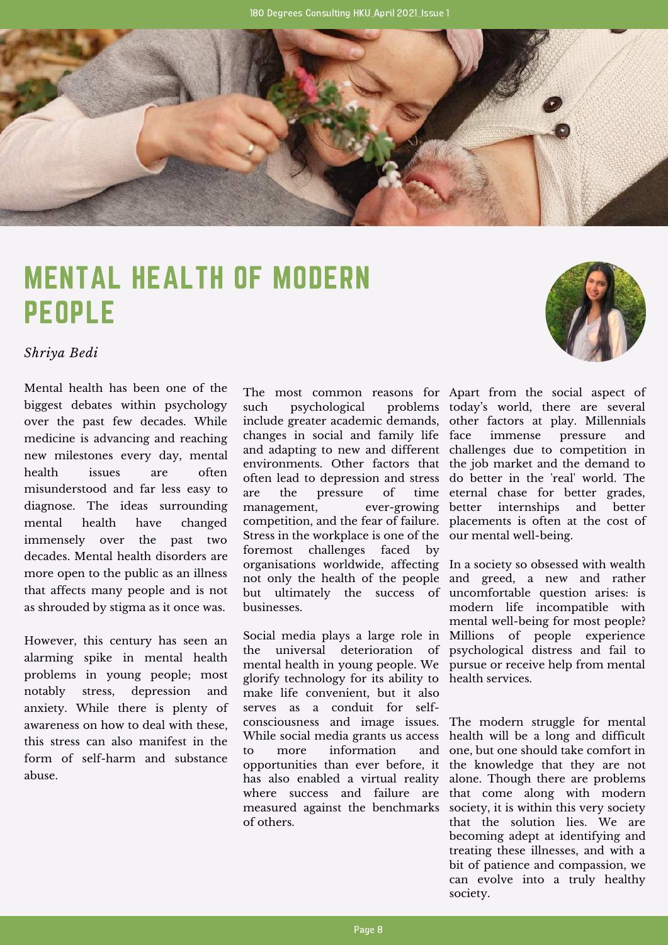

# MENTAL HEALTH OF MODERN PEOPLE

*Shriya Bedi*

Mental health has been one of the biggest debates within psychology over the past few decades. While medicine is advancing and reaching new milestones every day, mental health issues are often misunderstood and far less easy to diagnose. The ideas surrounding mental health have changed immensely over the past two decades. Mental health disorders are more open to the public as an illness that affects many people and is not as shrouded by stigma as it once was.

However, this century has seen an alarming spike in mental health problems in young people; most notably stress, depression and anxiety. While there is plenty of awareness on how to deal with these, this stress can also manifest in the form of self-harm and substance abuse.

The most common reasons for Apart from the social aspect of include greater academic demands, other factors at play. Millennials and adapting to new and different challenges due to competition in environments. Other factors that the job market and the demand to often lead to depression and stress do better in the 'real' world. The better internships and better management, ever-growing competition, and the fear of failure. placements is often at the cost of Stress in the workplace is one of the our mental well-being. organisations worldwide, affecting In a society so obsessed with wealth not only the health of the people and greed, a new and rather but ultimately the success of uncomfortable question arises: is such psychological changes in social and family life are the pressure of foremost challenges faced by businesses.

Social media plays a large role in Millions of people experience the universal deterioration of psychological distress and fail to mental health in young people. We pursue or receive help from mental glorify technology for its ability to health services. consciousness and image issues. The modern struggle for mental While social media grants us access health will be a long and difficult opportunities than ever before, it the knowledge that they are not has also enabled a virtual reality alone. Though there are problems where success and failure are that come along with modern measured against the benchmarks society, it is within this very society make life convenient, but it also serves as a conduit for selfto more information of others.

problems today's world, there are several immense pressure and time eternal chase for better grades,

> modern life incompatible with mental well-being for most people?

and one, but one should take comfort in that the solution lies. We are becoming adept at identifying and treating these illnesses, and with a bit of patience and compassion, we can evolve into a truly healthy society.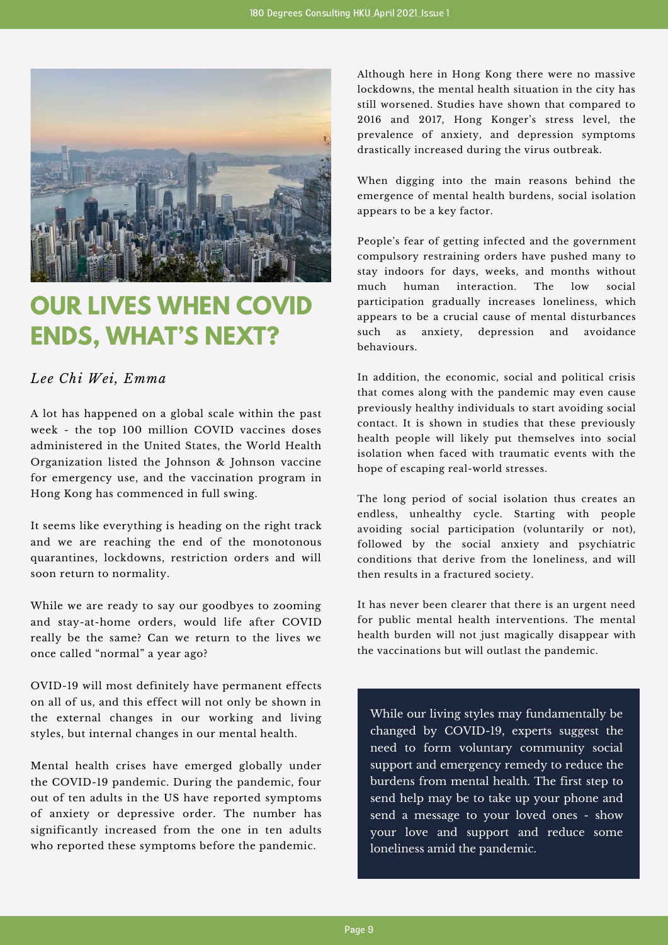

## **OUR LIVES WHEN COVID ENDS, WHAT'S NEXT?**

#### *Lee Chi Wei, Emma*

A lot has happened on a global scale within the past week - the top 100 million COVID vaccines doses administered in the United States, the World Health Organization listed the Johnson & Johnson vaccine for emergency use, and the vaccination program in Hong Kong has commenced in full swing.

It seems like everything is heading on the right track and we are reaching the end of the monotonous quarantines, lockdowns, restriction orders and will soon return to normality.

While we are ready to say our goodbyes to zooming and stay-at-home orders, would life after COVID really be the same? Can we return to the lives we once called "normal" a year ago?

OVID-19 will most definitely have permanent effects on all of us, and this effect will not only be shown in the external changes in our working and living styles, but internal changes in our mental health.

Mental health crises have emerged globally under the COVID-19 pandemic. During the pandemic, four out of ten adults in the US have reported symptoms of anxiety or depressive order. The number has significantly increased from the one in ten adults who reported these symptoms before the pandemic.

Although here in Hong Kong there were no massive lockdowns, the mental health situation in the city has still worsened. Studies have shown that compared to 2016 and 2017, Hong Konger's stress level, the prevalence of anxiety, and depression symptoms drastically increased during the virus outbreak.

When digging into the main reasons behind the emergence of mental health burdens, social isolation appears to be a key factor.

People's fear of getting infected and the government compulsory restraining orders have pushed many to stay indoors for days, weeks, and months without much human interaction. The low social participation gradually increases loneliness, which appears to be a crucial cause of mental disturbances such as anxiety, depression and avoidance behaviours.

In addition, the economic, social and political crisis that comes along with the pandemic may even cause previously healthy individuals to start avoiding social contact. It is shown in studies that these previously health people will likely put themselves into social isolation when faced with traumatic events with the hope of escaping real-world stresses.

The long period of social isolation thus creates an endless, unhealthy cycle. Starting with people avoiding social participation (voluntarily or not), followed by the social anxiety and psychiatric conditions that derive from the loneliness, and will then results in a fractured society.

It has never been clearer that there is an urgent need for public mental health interventions. The mental health burden will not just magically disappear with the vaccinations but will outlast the pandemic.

While our living styles may fundamentally be changed by COVID-19, experts suggest the need to form voluntary community social support and emergency remedy to reduce the burdens from mental health. The first step to send help may be to take up your phone and send a message to your loved ones - show your love and support and reduce some loneliness amid the pandemic.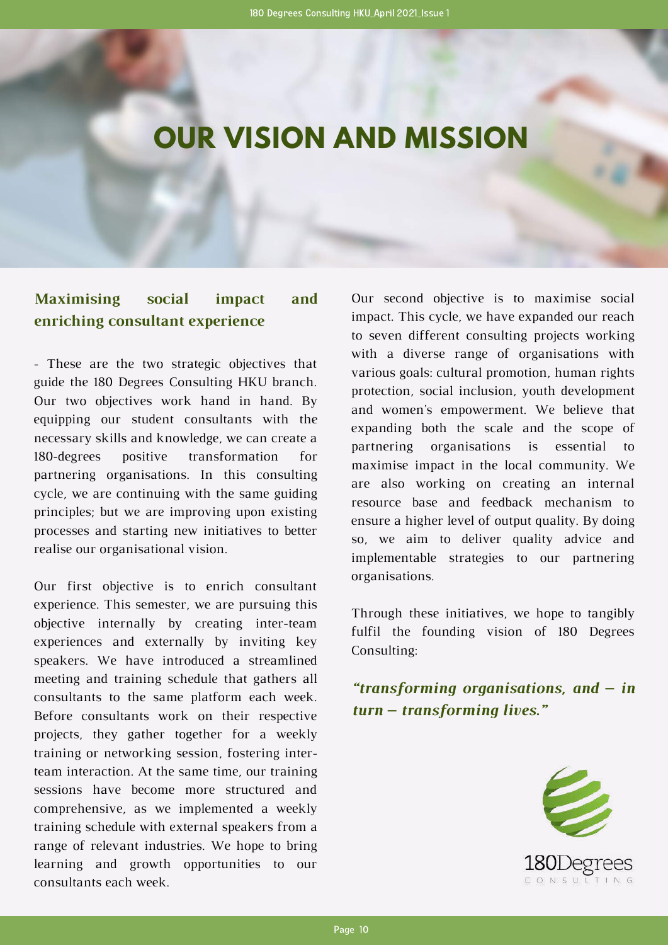# **OUR VISION AND MISSION**

#### **Maximising social impact and enriching consultant experience**

- These are the two strategic objectives that guide the 180 Degrees Consulting HKU branch. Our two objectives work hand in hand. By equipping our student consultants with the necessary skills and knowledge, we can create a 180-degrees positive transformation for partnering organisations. In this consulting cycle, we are continuing with the same guiding principles; but we are improving upon existing processes and starting new initiatives to better realise our organisational vision.

Our first objective is to enrich consultant experience. This semester, we are pursuing this objective internally by creating inter-team experiences and externally by inviting key speakers. We have introduced a streamlined meeting and training schedule that gathers all consultants to the same platform each week. Before consultants work on their respective projects, they gather together for a weekly training or networking session, fostering interteam interaction. At the same time, our training sessions have become more structured and comprehensive, as we implemented a weekly training schedule with external speakers from a range of relevant industries. We hope to bring learning and growth opportunities to our consultants each week.

Our second objective is to maximise social impact. This cycle, we have expanded our reach to seven different consulting projects working with a diverse range of organisations with various goals: cultural promotion, human rights protection, social inclusion, youth development and women's empowerment. We believe that expanding both the scale and the scope of partnering organisations is essential to maximise impact in the local community. We are also working on creating an internal resource base and feedback mechanism to ensure a higher level of output quality. By doing so, we aim to deliver quality advice and implementable strategies to our partnering organisations.

Through these initiatives, we hope to tangibly fulfil the founding vision of 180 Degrees Consulting:

*"transforming organisations, and – in turn – transforming lives."*